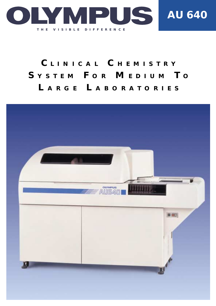

# **C LINICAL C HEMISTRY S YSTEM F OR M EDIUM T <sup>O</sup> L ARGE L ABORATORIES**

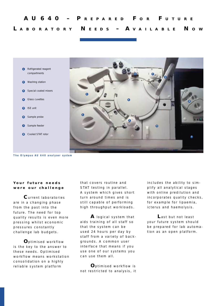

*The Olympus AU 640 analyser system*

## Your future needs **were our challenge**

**C**urrent laboratories are in a changing phase from the past into the future. The need for top quality results is even more pressing whilst economic pressures constantly challenge lab budgets.

**O**ptimised workflow is the key to the answer to these needs. Optimised workflow means workstation consolidation on a highly reliable system platform

that covers routine and STAT testing in parallel. A system which gives short turn around times and is still capable of performing high throughput workloads.

**A** logical system that aids training of all staff so that the system can be used 24 hours per day by staff from a variety of backgrounds. A common user interface that means if you use one of our systems you can use them all.

**O**ptimised workflow is not restricted to analysis, it includes the ability to simplify all analytical stages with online predilution and incorporates quality checks, for example for lipaemia, icterus and haemolysis.

**L**ast but not least your future system should be prepared for lab automation as an open platform.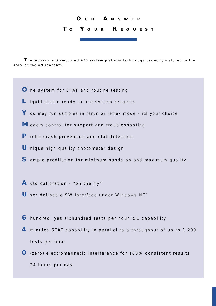# **O U R A NSWER T <sup>O</sup> Y OUR R EQUEST**

**T**he innovative Olympus AU 640 system platform technology perfectly matched to the state of the art reagents.

- **O** ne system for STAT and routine testing
- **L** iquid stable ready to use system reagents
- **Y** ou may run samples in rerun or reflex mode its your choice
- **M** odem control for support and troubleshooting
- **P** robe crash prevention and clot detection
- **U** nique high quality photometer design
- **S** ample predilution for minimum hands on and maximum quality
- **A** uto calibration "on the fly"
- U ser definable SW Interface under Windows NT<sup>™</sup>
- **6** hundred, yes sixhundred tests per hour ISE capability
- **4** minutes STAT capability in parallel to a throughput of up to 1,200 tests per hour
- **0** (zero) electromagnetic interference for 100% consistent results 24 hours per day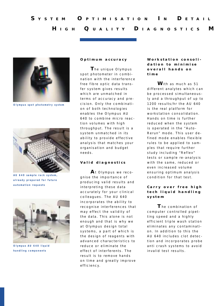

*Olympus spot photometry system*



*AU 640 sample rack system, already prepared for future automation requests*



*Olympus AU 640 liquid handling components*

### **Optimum accuracy**

**T**he unique Olympus spot photometer in combination with the interference free fibre optic data transfer system gives results which are unmatched in terms of accuracy and precision. Only the combination of both technologies enables the Olympus AU 640 to combine micro reaction volumes with high throughput. The result is a system unmatched in its ability to provide effective analysis that matches your organisation and budget needs.

### **Va l id d iagnost ics**

**A** t Olympus we recognise the importance of producing valid results and interpreting these data accurately for your clinical colleagues. The AU 640 incorporates the ability to recognise interferences that may effect the validity of the data. This alone is not enough and that is why we at Olympus design total systems, a part of which is the design of reagents with advanced characteristics to reduce or eliminate the effect of interferents. The result is to remove hands on time and greatly improve efficiency.

## Workstation consoli**dation to minimise overall hands on time**

**W** ith as much as 51 different analytes which can be processed simultaneously and a throughput of up to 1200 results/hr the AU 640 is the real platform for workstation consolidation. Hands on time is further reduced when the system is operated in the "Auto-Rerun" mode. This user defined mode enables flexible rules to be applied to samples that require further study including "Reflex" tests or sample re-analysis with the same, reduced or even increased volume ensuring optimum analysis condition for that test.

## **Carry over free high tech liquid handling system**

**T** he combination of computer controlled pipetting speed and a highly efficient triple wash station eliminates any contamination. In addition to this the AU 640 includes clot detection and incorporates probe anti crash systems to avoid invalid test results.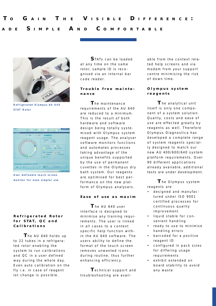

*Refrigerated Olympus AU 640 STAT Rotor*



*User definable touch screen monitor for even simpler use*

## **Refrigerated Rotor for STAT, QC and Calibrations**

**T**he AU 640 holds up to 22 tubes in a refrigerated rotor enabling the system to run calibrations and QC in a user defined way during the whole day. Even auto calibration on the fly i.e. in case of reagent lot change is possible.

**S**TATs can be loaded at any time on the same rotor, sample ID is recognised via an internal bar code reader.

## **Trouble free maintenance**

**T**he maintenance requirements of the AU 640 are reduced to a minimum. This is the result of both hardware and software design being totally systemised with Olympus system reagent usage. The analyser software monitors functions and automates processes taking advantage of the unique benefits supported by the use of permanent cuvettes in the Olympus dry bath system. Our reagents are optimised for best performance on the new platform of Olympus analysers.

## **Ease of use as maxim**

**T** he AU 640 user interface is designed to minimise any training requirements. The user is linked in all cases to a context specific help function within the AU 640 software. The users ability to define the format of the touch screen removes unwanted icons during routine, thus further enhancing efficiency.

**T**echnical support and troubleshooting are available from the context related help screens and via modem from your support centre minimising the risk of down time.

## **Olympus system reagents**

**T** he analytical unit itself is only one component of a system solution. Quality, costs and ease of use are effected greatly by reagents as well. Therefore Olympus Diagnostica has developed a complete range of system reagents specially designed to match our new AU 400/600/640 system platform requirements. Over 90 different applications already available, additional tests are under development.

**T** he Olympus system reagents are

- designed and manufactured under ISO 9001 certified processes for continuous quality improvement
- liquid stable for convenient handling
- ready to use to minimise handling errors
- barcoded for a positive reagent ID
- configured in pack sizes for differing usage requirements
- exhibit extended on board stability to avoid any waste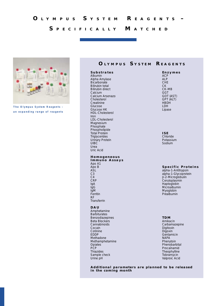## **S PEC IF ICALLY M ATCHED**



*The Olympus System Reagents – an expanding range of reagents*

## **O LYMPUS S YSTEM R EAGENTS**

#### **Substrates**

Albumin Alpha Amylase **Bicarbonate** Bilirubin total Bilirubin direct Calcium Calcium Arsenazo Cholesterol **Creatinine** Glucose Glucose HK HDL-Cholesterol Iron LDL-Cholesterol Magnesium Phosphate **Phospholipide** Total Protein **Triglycerides** Urinary Protein **UIBC** Urea Uric Acid

#### **Homogeneous Immuno Assays** Apo A1 Apo B ASL C3

 $C<sub>4</sub>$ CRP IgA IgG IgM Ferritin RF Transferrin

#### **DAU**

Amphetamine **Barbiturates** Benzodiazepines Beta Blockers **Cannabinoids** Cocain Cotinine EDDP Methadone Methamphetamine Opiates **PCP** Thiazides Sample check Urine pH

#### **Enzymes** ACP

ALP CHE CK CK-MB GGT GOT (AST) GPT (ALT) **HBDH** LDH Lipase

**ISE** Chloride Potassium Sodium

#### **Specific Proteins**

alpha-1-Antitrypsin alpha-1-Glycoprotein β-2-Microglobulin Ceruloplasmin Haptoglobin Microalbumin Myoglobin Prealbumin

#### **TDM**

Amikacin Carbamazepine Digitoxin Digoxin **Gentamicin** NAPA Phenytoin Phenobarbital Procaïnamid Theophylline **Tobramycin** Valproic Acid

**Additional parameters are planned to be released in the coming month**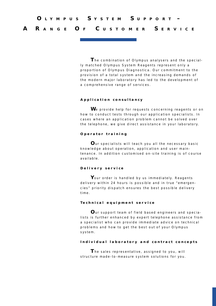**T**he combination of Olympus analysers and the specially matched Olympus System Reagents represent only a proportion of Olympus Diagnostica. Our commitment to the provision of a total system and the increasing demands of the modern major laboratory has led to the development of a comprehensive range of services.

## **Application consultancy**

**W**e provide help for requests concerning reagents or on how to conduct tests through our application specialists. In cases where an application problem cannot be solved over the telephone, we give direct assistance in your laboratory.

## **Operator training**

**O**ur specialists will teach you all the necessary basic knowledge about operation, application and user maintenance. In addition customised on-site training is of course available.

## **Delivery service**

**Y**our order is handled by us immediately. Reagents delivery within 24 hours is possible and in true "emergencies" priority dispatch ensures the best possible delivery time.

## **Techn ica l equ ipment ser v ice**

**O**ur support team of field based engineers and specialists is further enhanced by expert telephone assistance from a specialist who can provide immediate advice on technical problems and how to get the best out of your Olympus system.

## **Individual laboratory and contract concepts**

**T**he sales representative, assigned to you, will structure made-to-measure system solutions for you.